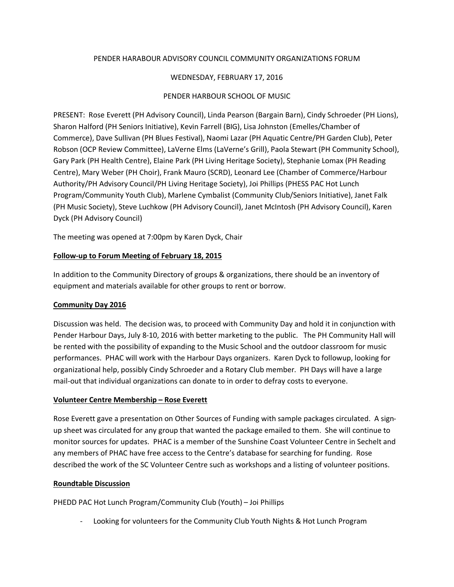# PENDER HARABOUR ADVISORY COUNCIL COMMUNITY ORGANIZATIONS FORUM

## WEDNESDAY, FEBRUARY 17, 2016

# PENDER HARBOUR SCHOOL OF MUSIC

PRESENT: Rose Everett (PH Advisory Council), Linda Pearson (Bargain Barn), Cindy Schroeder (PH Lions), Sharon Halford (PH Seniors Initiative), Kevin Farrell (BIG), Lisa Johnston (Emelles/Chamber of Commerce), Dave Sullivan (PH Blues Festival), Naomi Lazar (PH Aquatic Centre/PH Garden Club), Peter Robson (OCP Review Committee), LaVerne Elms (LaVerne's Grill), Paola Stewart (PH Community School), Gary Park (PH Health Centre), Elaine Park (PH Living Heritage Society), Stephanie Lomax (PH Reading Centre), Mary Weber (PH Choir), Frank Mauro (SCRD), Leonard Lee (Chamber of Commerce/Harbour Authority/PH Advisory Council/PH Living Heritage Society), Joi Phillips (PHESS PAC Hot Lunch Program/Community Youth Club), Marlene Cymbalist (Community Club/Seniors Initiative), Janet Falk (PH Music Society), Steve Luchkow (PH Advisory Council), Janet McIntosh (PH Advisory Council), Karen Dyck (PH Advisory Council)

The meeting was opened at 7:00pm by Karen Dyck, Chair

## **Follow-up to Forum Meeting of February 18, 2015**

In addition to the Community Directory of groups & organizations, there should be an inventory of equipment and materials available for other groups to rent or borrow.

# **Community Day 2016**

Discussion was held. The decision was, to proceed with Community Day and hold it in conjunction with Pender Harbour Days, July 8-10, 2016 with better marketing to the public. The PH Community Hall will be rented with the possibility of expanding to the Music School and the outdoor classroom for music performances. PHAC will work with the Harbour Days organizers. Karen Dyck to followup, looking for organizational help, possibly Cindy Schroeder and a Rotary Club member. PH Days will have a large mail-out that individual organizations can donate to in order to defray costs to everyone.

## **Volunteer Centre Membership – Rose Everett**

Rose Everett gave a presentation on Other Sources of Funding with sample packages circulated. A signup sheet was circulated for any group that wanted the package emailed to them. She will continue to monitor sources for updates. PHAC is a member of the Sunshine Coast Volunteer Centre in Sechelt and any members of PHAC have free access to the Centre's database for searching for funding. Rose described the work of the SC Volunteer Centre such as workshops and a listing of volunteer positions.

## **Roundtable Discussion**

PHEDD PAC Hot Lunch Program/Community Club (Youth) – Joi Phillips

- Looking for volunteers for the Community Club Youth Nights & Hot Lunch Program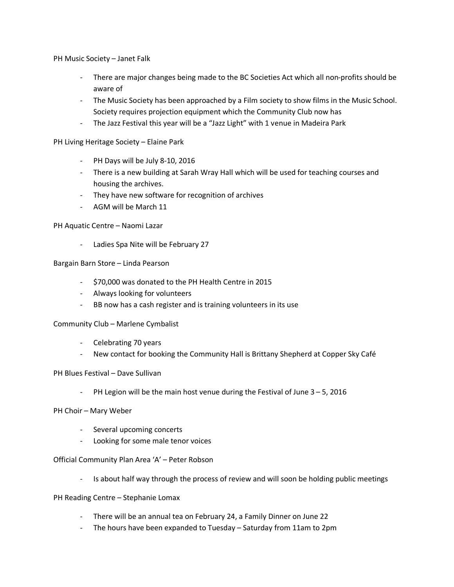PH Music Society – Janet Falk

- There are major changes being made to the BC Societies Act which all non-profits should be aware of
- The Music Society has been approached by a Film society to show films in the Music School. Society requires projection equipment which the Community Club now has
- The Jazz Festival this year will be a "Jazz Light" with 1 venue in Madeira Park

PH Living Heritage Society – Elaine Park

- PH Days will be July 8-10, 2016
- There is a new building at Sarah Wray Hall which will be used for teaching courses and housing the archives.
- They have new software for recognition of archives
- AGM will be March 11

### PH Aquatic Centre – Naomi Lazar

- Ladies Spa Nite will be February 27

### Bargain Barn Store – Linda Pearson

- \$70,000 was donated to the PH Health Centre in 2015
- Always looking for volunteers
- BB now has a cash register and is training volunteers in its use

#### Community Club – Marlene Cymbalist

- Celebrating 70 years
- New contact for booking the Community Hall is Brittany Shepherd at Copper Sky Café

#### PH Blues Festival – Dave Sullivan

PH Legion will be the main host venue during the Festival of June  $3 - 5$ , 2016

#### PH Choir – Mary Weber

- Several upcoming concerts
- Looking for some male tenor voices

#### Official Community Plan Area 'A' – Peter Robson

- Is about half way through the process of review and will soon be holding public meetings

#### PH Reading Centre – Stephanie Lomax

- There will be an annual tea on February 24, a Family Dinner on June 22
- The hours have been expanded to Tuesday Saturday from 11am to 2pm